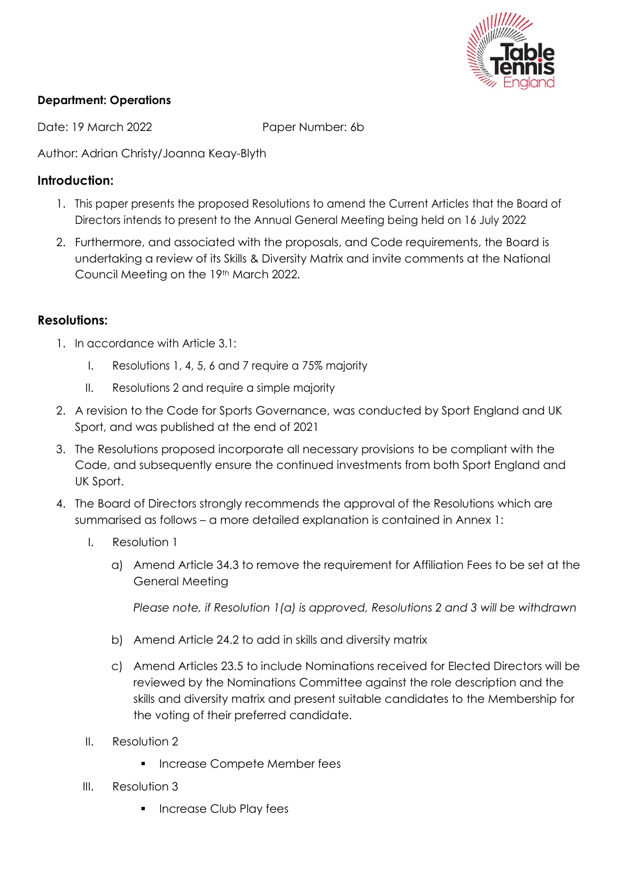

# **Department: Operations**

Date: 19 March 2022 Paper Number: 6b

Author: Adrian Christy/Joanna Keay-Blyth

# **Introduction:**

- 1. This paper presents the proposed Resolutions to amend the Current Articles that the Board of Directors intends to present to the Annual General Meeting being held on 16 July 2022
- 2. Furthermore, and associated with the proposals, and Code requirements, the Board is undertaking a review of its Skills & Diversity Matrix and invite comments at the National Council Meeting on the 19th March 2022.

# **Resolutions:**

- 1. In accordance with Article 3.1:
	- I. Resolutions 1, 4, 5, 6 and 7 require a 75% majority
	- II. Resolutions 2 and require a simple majority
- 2. A revision to the Code for Sports Governance, was conducted by Sport England and UK Sport, and was published at the end of 2021
- 3. The Resolutions proposed incorporate all necessary provisions to be compliant with the Code, and subsequently ensure the continued investments from both Sport England and UK Sport.
- 4. The Board of Directors strongly recommends the approval of the Resolutions which are summarised as follows – a more detailed explanation is contained in Annex 1:
	- I. Resolution 1
		- a) Amend Article 34.3 to remove the requirement for Affiliation Fees to be set at the General Meeting

*Please note, if Resolution 1(a) is approved, Resolutions 2 and 3 will be withdrawn*

- b) Amend Article 24.2 to add in skills and diversity matrix
- c) Amend Articles 23.5 to include Nominations received for Elected Directors will be reviewed by the Nominations Committee against the role description and the skills and diversity matrix and present suitable candidates to the Membership for the voting of their preferred candidate.
- II. Resolution 2
	- **·** Increase Compete Member fees
- III. Resolution 3
	- **·** Increase Club Play fees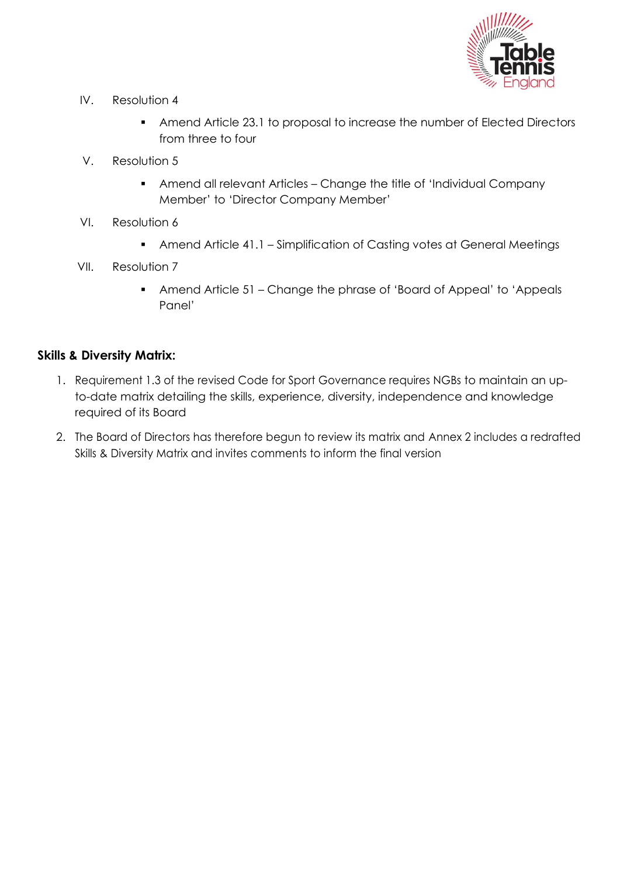

- IV. Resolution 4
	- **EXEDENT Amend Article 23.1 to proposal to increase the number of Elected Directors** from three to four
- V. Resolution 5
	- Amend all relevant Articles Change the title of 'Individual Company Member' to 'Director Company Member'
- VI. Resolution 6
	- Amend Article 41.1 Simplification of Casting votes at General Meetings
- VII. Resolution 7
	- Amend Article 51 Change the phrase of 'Board of Appeal' to 'Appeals Panel'

# **Skills & Diversity Matrix:**

- 1. Requirement 1.3 of the revised Code for Sport Governance requires NGBs to maintain an upto-date matrix detailing the skills, experience, diversity, independence and knowledge required of its Board
- 2. The Board of Directors has therefore begun to review its matrix and Annex 2 includes a redrafted Skills & Diversity Matrix and invites comments to inform the final version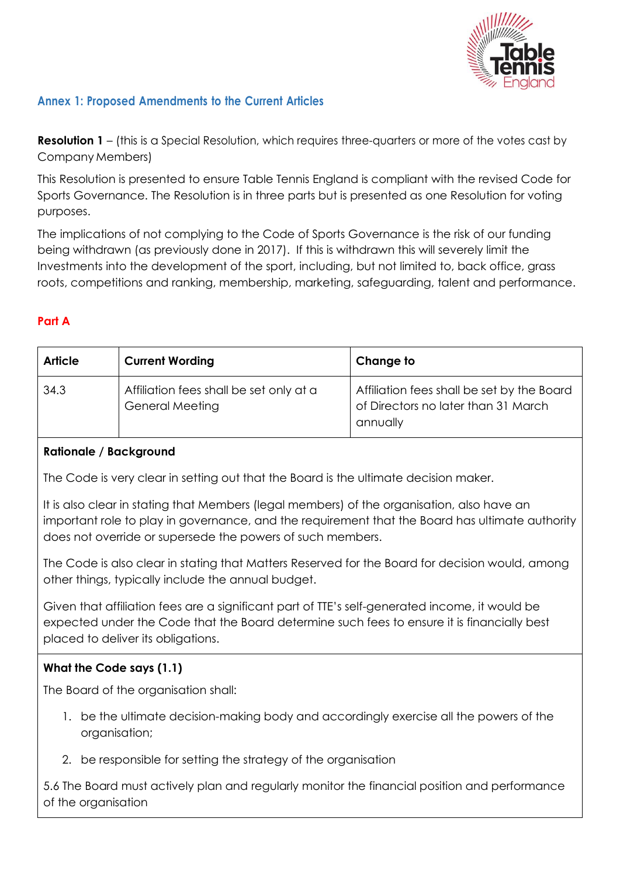

# **Annex 1: Proposed Amendments to the Current Articles**

**Resolution 1** – (this is a Special Resolution, which requires three-quarters or more of the votes cast by Company Members)

This Resolution is presented to ensure Table Tennis England is compliant with the revised Code for Sports Governance. The Resolution is in three parts but is presented as one Resolution for voting purposes.

The implications of not complying to the Code of Sports Governance is the risk of our funding being withdrawn (as previously done in 2017). If this is withdrawn this will severely limit the Investments into the development of the sport, including, but not limited to, back office, grass roots, competitions and ranking, membership, marketing, safeguarding, talent and performance.

## **Part A**

| <b>Article</b> | <b>Current Wording</b>                                            | Change to                                                                                     |
|----------------|-------------------------------------------------------------------|-----------------------------------------------------------------------------------------------|
| 34.3           | Affiliation fees shall be set only at a<br><b>General Meeting</b> | Affiliation fees shall be set by the Board<br>of Directors no later than 31 March<br>annually |

#### **Rationale / Background**

The Code is very clear in setting out that the Board is the ultimate decision maker.

It is also clear in stating that Members (legal members) of the organisation, also have an important role to play in governance, and the requirement that the Board has ultimate authority does not override or supersede the powers of such members.

The Code is also clear in stating that Matters Reserved for the Board for decision would, among other things, typically include the annual budget.

Given that affiliation fees are a significant part of TTE's self-generated income, it would be expected under the Code that the Board determine such fees to ensure it is financially best placed to deliver its obligations.

#### **What the Code says (1.1)**

The Board of the organisation shall:

- 1. be the ultimate decision-making body and accordingly exercise all the powers of the organisation;
- 2. be responsible for setting the strategy of the organisation

5.6 The Board must actively plan and regularly monitor the financial position and performance of the organisation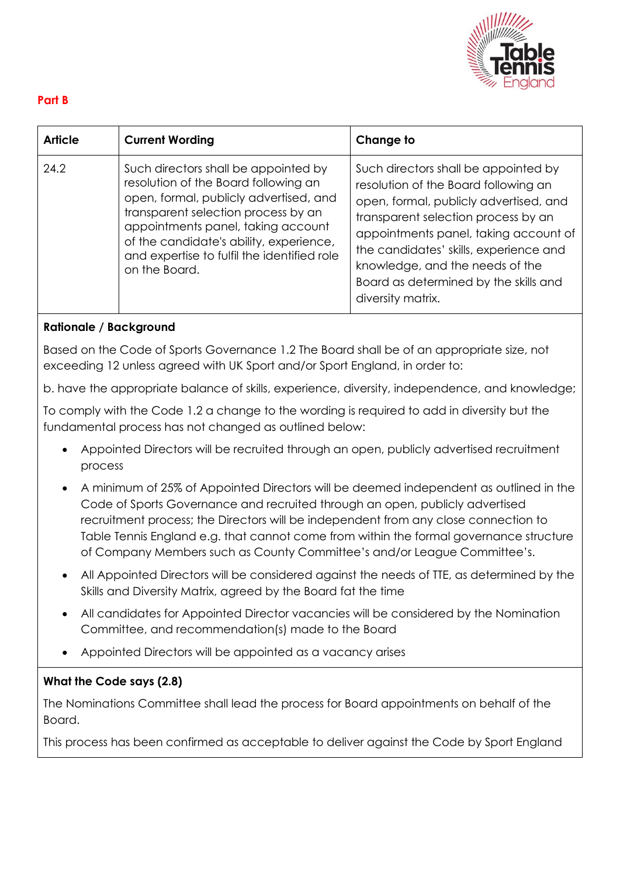

## **Part B**

| <b>Article</b> | <b>Current Wording</b>                                                                                                                                                                                                                                                                                         | Change to                                                                                                                                                                                                                                                                                                                                         |
|----------------|----------------------------------------------------------------------------------------------------------------------------------------------------------------------------------------------------------------------------------------------------------------------------------------------------------------|---------------------------------------------------------------------------------------------------------------------------------------------------------------------------------------------------------------------------------------------------------------------------------------------------------------------------------------------------|
| 24.2           | Such directors shall be appointed by<br>resolution of the Board following an<br>open, formal, publicly advertised, and<br>transparent selection process by an<br>appointments panel, taking account<br>of the candidate's ability, experience,<br>and expertise to fulfil the identified role<br>on the Board. | Such directors shall be appointed by<br>resolution of the Board following an<br>open, formal, publicly advertised, and<br>transparent selection process by an<br>appointments panel, taking account of<br>the candidates' skills, experience and<br>knowledge, and the needs of the<br>Board as determined by the skills and<br>diversity matrix. |

## **Rationale / Background**

Based on the Code of Sports Governance 1.2 The Board shall be of an appropriate size, not exceeding 12 unless agreed with UK Sport and/or Sport England, in order to:

b. have the appropriate balance of skills, experience, diversity, independence, and knowledge;

To comply with the Code 1.2 a change to the wording is required to add in diversity but the fundamental process has not changed as outlined below:

- Appointed Directors will be recruited through an open, publicly advertised recruitment process
- A minimum of 25% of Appointed Directors will be deemed independent as outlined in the Code of Sports Governance and recruited through an open, publicly advertised recruitment process; the Directors will be independent from any close connection to Table Tennis England e.g. that cannot come from within the formal governance structure of Company Members such as County Committee's and/or League Committee's.
- All Appointed Directors will be considered against the needs of TTE, as determined by the Skills and Diversity Matrix, agreed by the Board fat the time
- All candidates for Appointed Director vacancies will be considered by the Nomination Committee, and recommendation(s) made to the Board
- Appointed Directors will be appointed as a vacancy arises

#### **What the Code says (2.8)**

The Nominations Committee shall lead the process for Board appointments on behalf of the Board.

This process has been confirmed as acceptable to deliver against the Code by Sport England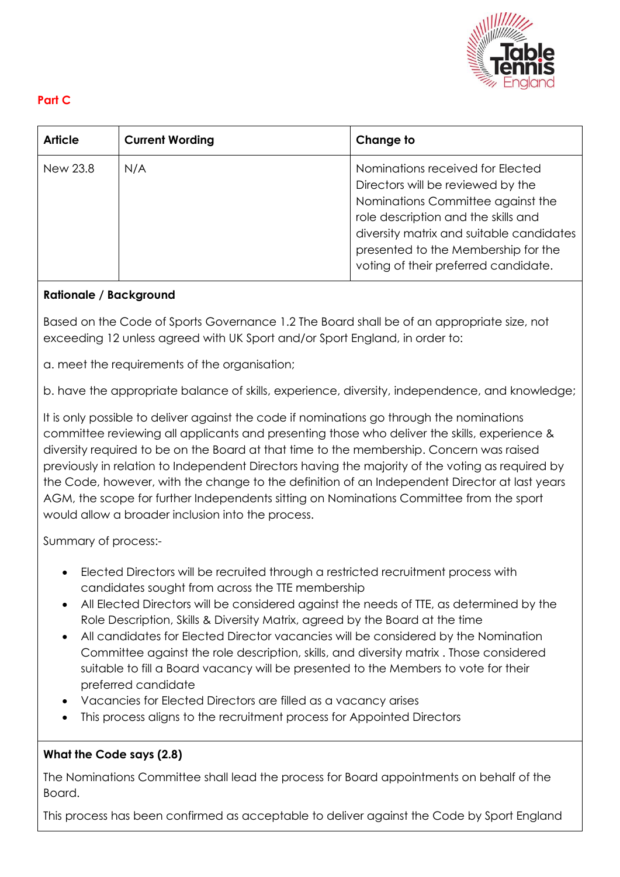

# **Part C**

| <b>Article</b> | <b>Current Wording</b> | Change to                                                                                                                                                                                                                                                                    |
|----------------|------------------------|------------------------------------------------------------------------------------------------------------------------------------------------------------------------------------------------------------------------------------------------------------------------------|
| New 23.8       | N/A                    | Nominations received for Elected<br>Directors will be reviewed by the<br>Nominations Committee against the<br>role description and the skills and<br>diversity matrix and suitable candidates<br>presented to the Membership for the<br>voting of their preferred candidate. |

## **Rationale / Background**

Based on the Code of Sports Governance 1.2 The Board shall be of an appropriate size, not exceeding 12 unless agreed with UK Sport and/or Sport England, in order to:

a. meet the requirements of the organisation;

b. have the appropriate balance of skills, experience, diversity, independence, and knowledge;

It is only possible to deliver against the code if nominations go through the nominations committee reviewing all applicants and presenting those who deliver the skills, experience & diversity required to be on the Board at that time to the membership. Concern was raised previously in relation to Independent Directors having the majority of the voting as required by the Code, however, with the change to the definition of an Independent Director at last years AGM, the scope for further Independents sitting on Nominations Committee from the sport would allow a broader inclusion into the process.

Summary of process:-

- Elected Directors will be recruited through a restricted recruitment process with candidates sought from across the TTE membership
- All Elected Directors will be considered against the needs of TTE, as determined by the Role Description, Skills & Diversity Matrix, agreed by the Board at the time
- All candidates for Elected Director vacancies will be considered by the Nomination Committee against the role description, skills, and diversity matrix . Those considered suitable to fill a Board vacancy will be presented to the Members to vote for their preferred candidate
- Vacancies for Elected Directors are filled as a vacancy arises
- This process aligns to the recruitment process for Appointed Directors

#### **What the Code says (2.8)**

The Nominations Committee shall lead the process for Board appointments on behalf of the Board.

This process has been confirmed as acceptable to deliver against the Code by Sport England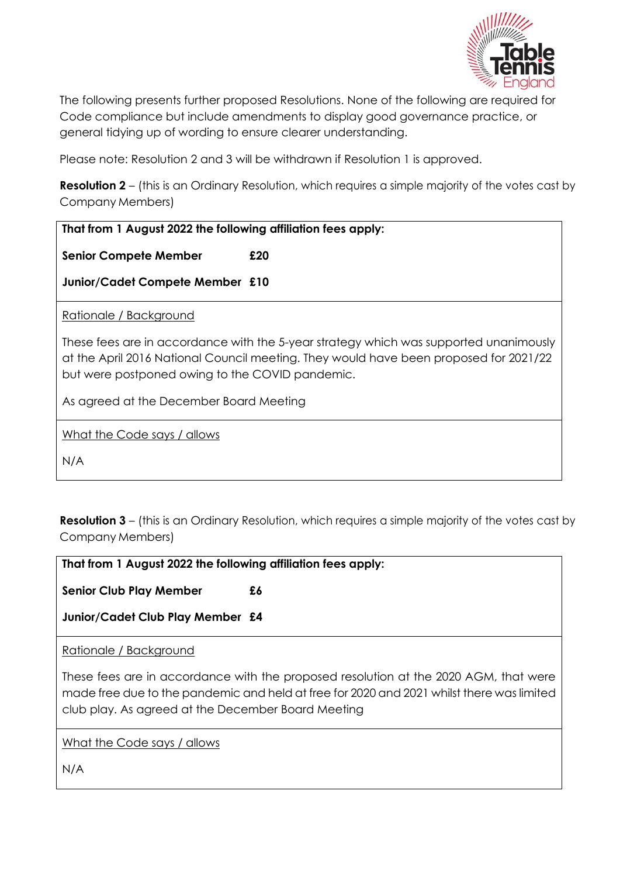

The following presents further proposed Resolutions. None of the following are required for Code compliance but include amendments to display good governance practice, or general tidying up of wording to ensure clearer understanding.

Please note: Resolution 2 and 3 will be withdrawn if Resolution 1 is approved.

**Resolution 2** – (this is an Ordinary Resolution, which requires a simple majority of the votes cast by Company Members)

| That from 1 August 2022 the following affiliation fees apply:                                                                                                                                                                     |  |  |
|-----------------------------------------------------------------------------------------------------------------------------------------------------------------------------------------------------------------------------------|--|--|
| <b>Senior Compete Member</b><br>£20                                                                                                                                                                                               |  |  |
| Junior/Cadet Compete Member £10                                                                                                                                                                                                   |  |  |
| Rationale / Background                                                                                                                                                                                                            |  |  |
| These fees are in accordance with the 5-year strategy which was supported unanimously<br>at the April 2016 National Council meeting. They would have been proposed for 2021/22<br>but were postponed owing to the COVID pandemic. |  |  |
| As agreed at the December Board Meeting                                                                                                                                                                                           |  |  |
| What the Code says / allows                                                                                                                                                                                                       |  |  |
| N/A                                                                                                                                                                                                                               |  |  |
|                                                                                                                                                                                                                                   |  |  |

**Resolution 3** – (this is an Ordinary Resolution, which requires a simple majority of the votes cast by Company Members)

| That from 1 August 2022 the following affiliation fees apply:                                                                                                                                                                           |    |  |
|-----------------------------------------------------------------------------------------------------------------------------------------------------------------------------------------------------------------------------------------|----|--|
| <b>Senior Club Play Member</b>                                                                                                                                                                                                          | £6 |  |
| Junior/Cadet Club Play Member £4                                                                                                                                                                                                        |    |  |
| Rationale / Background                                                                                                                                                                                                                  |    |  |
| These fees are in accordance with the proposed resolution at the 2020 AGM, that were<br>made free due to the pandemic and held at free for 2020 and 2021 whilst there was limited<br>club play. As agreed at the December Board Meeting |    |  |
| What the Code says / allows                                                                                                                                                                                                             |    |  |
| N/A                                                                                                                                                                                                                                     |    |  |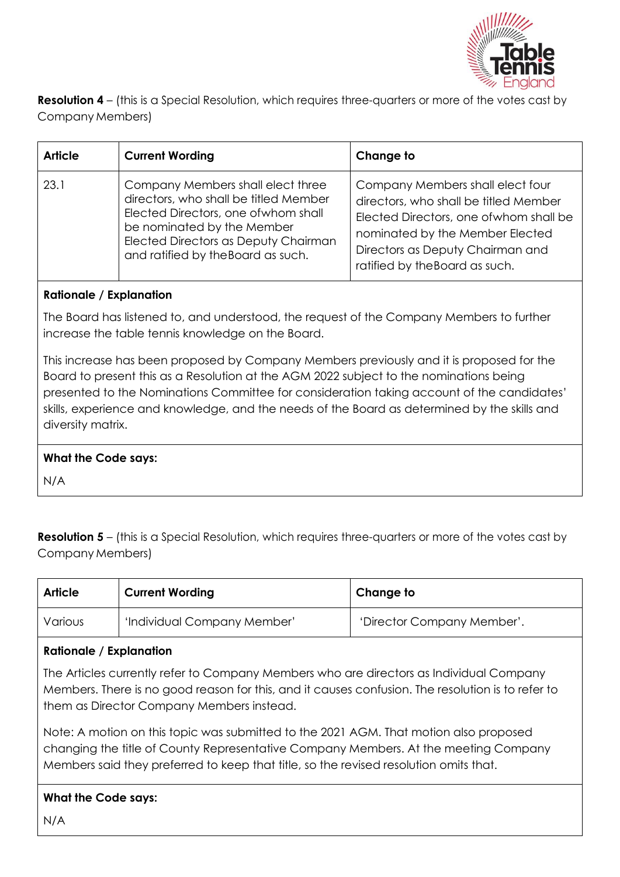

**Resolution 4** – (this is a Special Resolution, which requires three-quarters or more of the votes cast by Company Members)

| <b>Article</b> | <b>Current Wording</b>                                                                                                                                                                                                         | Change to                                                                                                                                                                                                                     |
|----------------|--------------------------------------------------------------------------------------------------------------------------------------------------------------------------------------------------------------------------------|-------------------------------------------------------------------------------------------------------------------------------------------------------------------------------------------------------------------------------|
| 23.1           | Company Members shall elect three<br>directors, who shall be titled Member<br>Elected Directors, one of whom shall<br>be nominated by the Member<br>Elected Directors as Deputy Chairman<br>and ratified by the Board as such. | Company Members shall elect four<br>directors, who shall be titled Member<br>Elected Directors, one of whom shall be<br>nominated by the Member Elected<br>Directors as Deputy Chairman and<br>ratified by the Board as such. |

## **Rationale / Explanation**

The Board has listened to, and understood, the request of the Company Members to further increase the table tennis knowledge on the Board.

This increase has been proposed by Company Members previously and it is proposed for the Board to present this as a Resolution at the AGM 2022 subject to the nominations being presented to the Nominations Committee for consideration taking account of the candidates' skills, experience and knowledge, and the needs of the Board as determined by the skills and diversity matrix.

#### **What the Code says:**

N/A

**Resolution 5** – (this is a Special Resolution, which requires three-quarters or more of the votes cast by Company Members)

| <b>Article</b> | <b>Current Wording</b>      | Change to                  |
|----------------|-----------------------------|----------------------------|
| Various        | 'Individual Company Member' | 'Director Company Member'. |

#### **Rationale / Explanation**

The Articles currently refer to Company Members who are directors as Individual Company Members. There is no good reason for this, and it causes confusion. The resolution is to refer to them as Director Company Members instead.

Note: A motion on this topic was submitted to the 2021 AGM. That motion also proposed changing the title of County Representative Company Members. At the meeting Company Members said they preferred to keep that title, so the revised resolution omits that.

# **What the Code says:**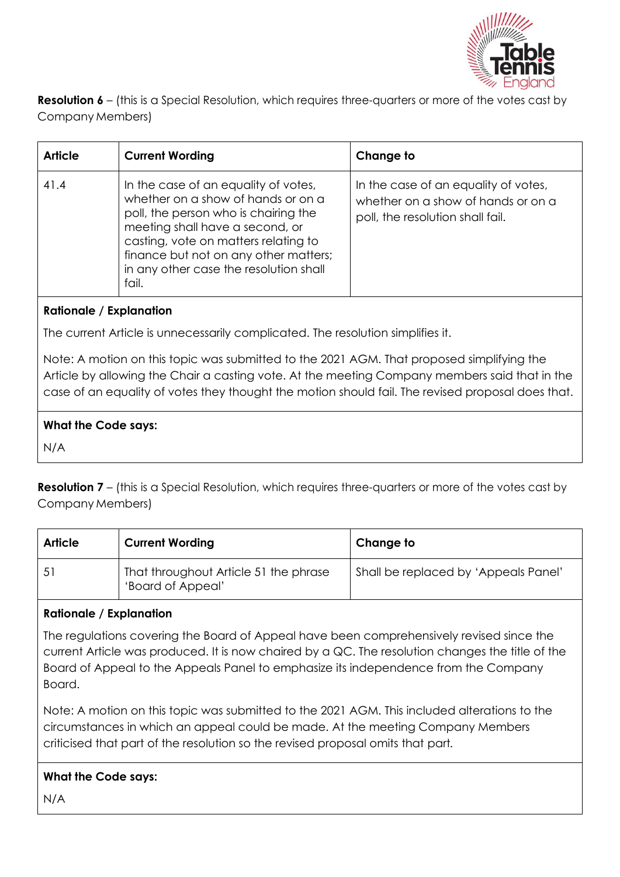

**Resolution 6** – (this is a Special Resolution, which requires three-quarters or more of the votes cast by Company Members)

| <b>Article</b> | <b>Current Wording</b>                                                                                                                                                                                                                                                                    | Change to                                                                                                      |
|----------------|-------------------------------------------------------------------------------------------------------------------------------------------------------------------------------------------------------------------------------------------------------------------------------------------|----------------------------------------------------------------------------------------------------------------|
| 41.4           | In the case of an equality of votes,<br>whether on a show of hands or on a<br>poll, the person who is chairing the<br>meeting shall have a second, or<br>casting, vote on matters relating to<br>finance but not on any other matters;<br>in any other case the resolution shall<br>fail. | In the case of an equality of votes,<br>whether on a show of hands or on a<br>poll, the resolution shall fail. |

## **Rationale / Explanation**

The current Article is unnecessarily complicated. The resolution simplifies it.

Note: A motion on this topic was submitted to the 2021 AGM. That proposed simplifying the Article by allowing the Chair a casting vote. At the meeting Company members said that in the case of an equality of votes they thought the motion should fail. The revised proposal does that.

## **What the Code says:**

N/A

**Resolution 7** – (this is a Special Resolution, which requires three-quarters or more of the votes cast by Company Members)

| <b>Article</b> | <b>Current Wording</b>                                     | Change to                            |
|----------------|------------------------------------------------------------|--------------------------------------|
| 51             | That throughout Article 51 the phrase<br>'Board of Appeal' | Shall be replaced by 'Appeals Panel' |

#### **Rationale / Explanation**

The regulations covering the Board of Appeal have been comprehensively revised since the current Article was produced. It is now chaired by a QC. The resolution changes the title of the Board of Appeal to the Appeals Panel to emphasize its independence from the Company Board.

Note: A motion on this topic was submitted to the 2021 AGM. This included alterations to the circumstances in which an appeal could be made. At the meeting Company Members criticised that part of the resolution so the revised proposal omits that part*.*

# **What the Code says:**

N/A